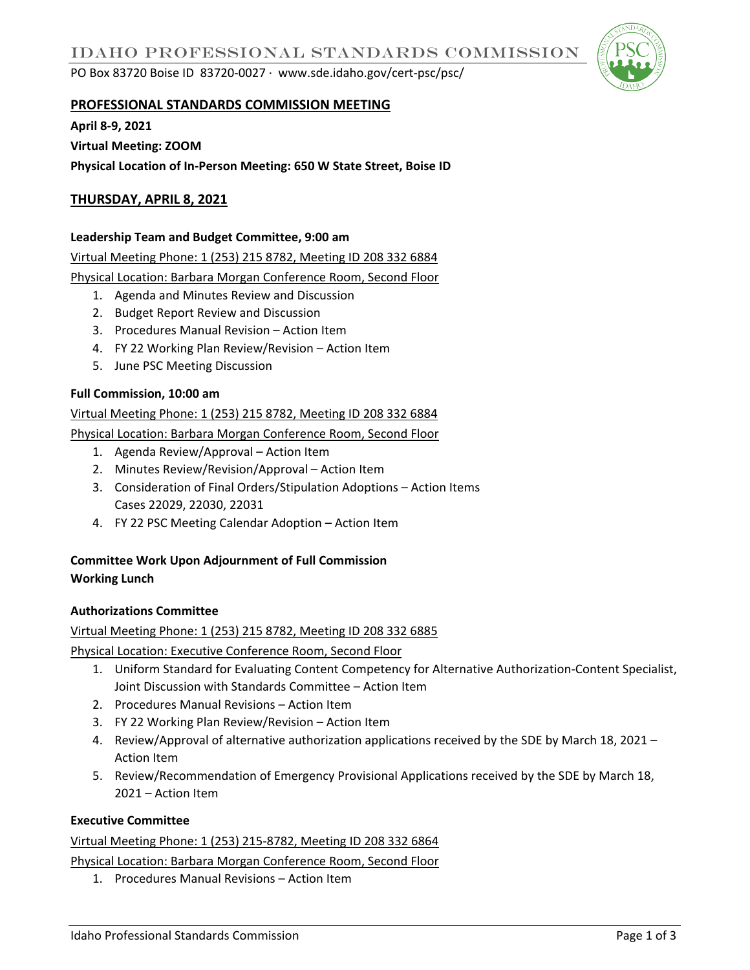PO Box 83720 Boise ID 83720-0027 ∙ www.sde.idaho.gov/cert-psc/psc/



## **PROFESSIONAL STANDARDS COMMISSION MEETING**

**April 8-9, 2021**

**Virtual Meeting: ZOOM Physical Location of In-Person Meeting: 650 W State Street, Boise ID** 

# **THURSDAY, APRIL 8, 2021**

## **Leadership Team and Budget Committee, 9:00 am**

Virtual Meeting Phone: 1 (253) 215 8782, Meeting ID 208 332 6884

Physical Location: Barbara Morgan Conference Room, Second Floor

- 1. Agenda and Minutes Review and Discussion
- 2. Budget Report Review and Discussion
- 3. Procedures Manual Revision Action Item
- 4. FY 22 Working Plan Review/Revision Action Item
- 5. June PSC Meeting Discussion

## **Full Commission, 10:00 am**

#### Virtual Meeting Phone: 1 (253) 215 8782, Meeting ID 208 332 6884

Physical Location: Barbara Morgan Conference Room, Second Floor

- 1. Agenda Review/Approval Action Item
- 2. Minutes Review/Revision/Approval Action Item
- 3. Consideration of Final Orders/Stipulation Adoptions Action Items Cases 22029, 22030, 22031
- 4. FY 22 PSC Meeting Calendar Adoption Action Item

# **Committee Work Upon Adjournment of Full Commission Working Lunch**

#### **Authorizations Committee**

#### Virtual Meeting Phone: 1 (253) 215 8782, Meeting ID 208 332 6885

Physical Location: Executive Conference Room, Second Floor

- 1. Uniform Standard for Evaluating Content Competency for Alternative Authorization-Content Specialist, Joint Discussion with Standards Committee – Action Item
- 2. Procedures Manual Revisions Action Item
- 3. FY 22 Working Plan Review/Revision Action Item
- 4. Review/Approval of alternative authorization applications received by the SDE by March 18, 2021 Action Item
- 5. Review/Recommendation of Emergency Provisional Applications received by the SDE by March 18, 2021 – Action Item

# **Executive Committee**

Virtual Meeting Phone: 1 (253) 215-8782, Meeting ID 208 332 6864

Physical Location: Barbara Morgan Conference Room, Second Floor

1. Procedures Manual Revisions – Action Item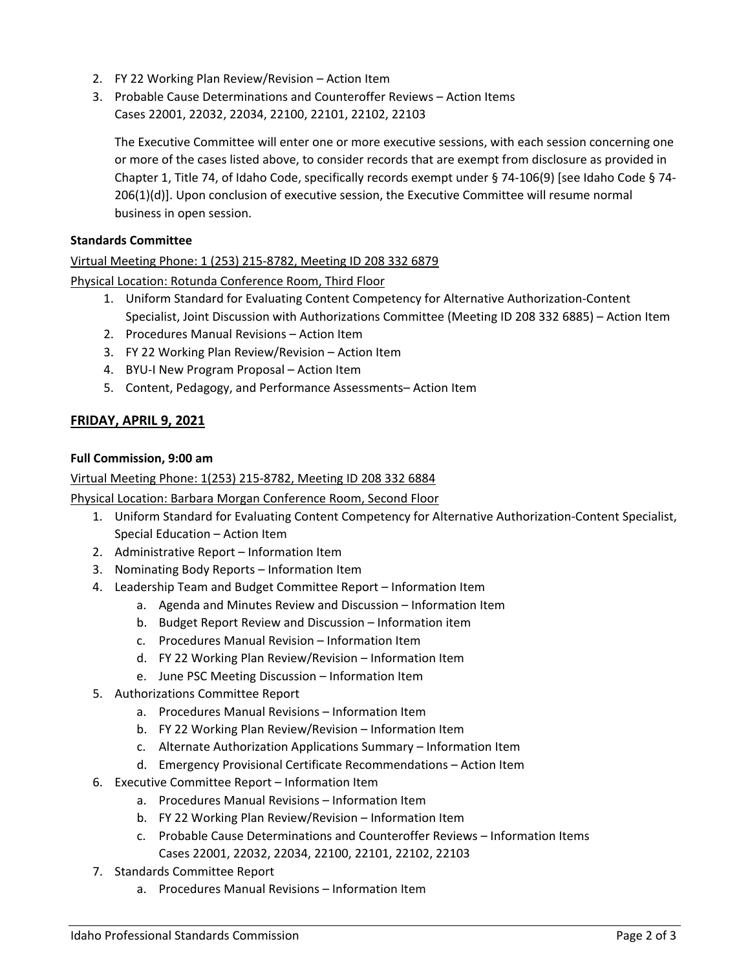- 2. FY 22 Working Plan Review/Revision Action Item
- 3. Probable Cause Determinations and Counteroffer Reviews Action Items Cases 22001, 22032, 22034, 22100, 22101, 22102, 22103

The Executive Committee will enter one or more executive sessions, with each session concerning one or more of the cases listed above, to consider records that are exempt from disclosure as provided in Chapter 1, Title 74, of Idaho Code, specifically records exempt under § 74-106(9) [see Idaho Code § 74- 206(1)(d)]. Upon conclusion of executive session, the Executive Committee will resume normal business in open session.

# **Standards Committee**

## Virtual Meeting Phone: 1 (253) 215-8782, Meeting ID 208 332 6879

Physical Location: Rotunda Conference Room, Third Floor

- 1. Uniform Standard for Evaluating Content Competency for Alternative Authorization-Content Specialist, Joint Discussion with Authorizations Committee (Meeting ID 208 332 6885) – Action Item
- 2. Procedures Manual Revisions Action Item
- 3. FY 22 Working Plan Review/Revision Action Item
- 4. BYU-I New Program Proposal Action Item
- 5. Content, Pedagogy, and Performance Assessments– Action Item

# **FRIDAY, APRIL 9, 2021**

#### **Full Commission, 9:00 am**

Virtual Meeting Phone: 1(253) 215-8782, Meeting ID 208 332 6884

Physical Location: Barbara Morgan Conference Room, Second Floor

- 1. Uniform Standard for Evaluating Content Competency for Alternative Authorization-Content Specialist, Special Education – Action Item
- 2. Administrative Report Information Item
- 3. Nominating Body Reports Information Item
- 4. Leadership Team and Budget Committee Report Information Item
	- a. Agenda and Minutes Review and Discussion Information Item
	- b. Budget Report Review and Discussion Information item
	- c. Procedures Manual Revision Information Item
	- d. FY 22 Working Plan Review/Revision Information Item
	- e. June PSC Meeting Discussion Information Item
- 5. Authorizations Committee Report
	- a. Procedures Manual Revisions Information Item
	- b. FY 22 Working Plan Review/Revision Information Item
	- c. Alternate Authorization Applications Summary Information Item
	- d. Emergency Provisional Certificate Recommendations Action Item
- 6. Executive Committee Report Information Item
	- a. Procedures Manual Revisions Information Item
	- b. FY 22 Working Plan Review/Revision Information Item
	- c. Probable Cause Determinations and Counteroffer Reviews Information Items Cases 22001, 22032, 22034, 22100, 22101, 22102, 22103
- 7. Standards Committee Report
	- a. Procedures Manual Revisions Information Item